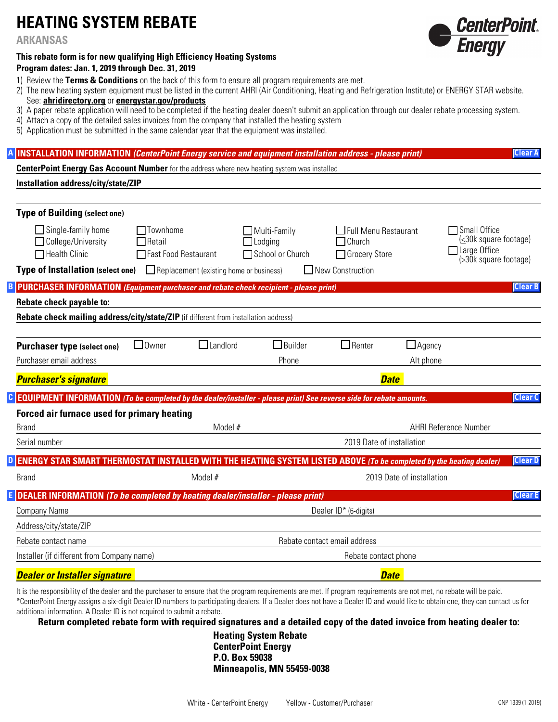# **HEATING SYSTEM REBATE**

**ARKANSAS**

#### **This rebate form is for new qualifying High Efficiency Heating Systems**

#### **Program dates: Jan. 1, 2019 through Dec. 31, 2019**

- 1) Review the **Terms & Conditions** on the back of this form to ensure all program requirements are met.
- 2) The new heating system equipment must be listed in the current AHRI (Air Conditioning, Heating and Refrigeration Institute) or ENERGY STAR website. See: **ahridirectory.org** or **energystar.gov/products**
- 3) A paper rebate application will need to be completed if the heating dealer doesn't submit an application through our dealer rebate processing system.
- 4) Attach a copy of the detailed sales invoices from the company that installed the heating system
- 5) Application must be submitted in the same calendar year that the equipment was installed.

#### **INSTALLATION INFORMATION** *(CenterPoint Energy service and equipment installation address - please print)* **A**

**CenterPoint Energy Gas Account Number** for the address where new heating system was installed

#### **Installation address/city/state/ZIP**

| <b>Type of Building (select one)</b>                                                                                |                                                            |                                         |                                                           |                                                               |                           |                                                                                                |  |
|---------------------------------------------------------------------------------------------------------------------|------------------------------------------------------------|-----------------------------------------|-----------------------------------------------------------|---------------------------------------------------------------|---------------------------|------------------------------------------------------------------------------------------------|--|
| $\Box$ Single-family home<br>College/University<br>Health Clinic                                                    | $\Box$ Townhome<br>$\sqcap$ Retail<br>Fast Food Restaurant |                                         | $\Box$ Multi-Family<br>$\Box$ Lodging<br>School or Church | $\Box$ Full Menu Restaurant<br>$\Box$ Church<br>Grocery Store |                           | $\Box$ Small Office<br>(≤30k square footage)<br>$\sqcap$ Large Office<br>(>30k square footage) |  |
| <b>Type of Installation (select one)</b>                                                                            |                                                            | Replacement (existing home or business) |                                                           | New Construction                                              |                           |                                                                                                |  |
| <b>PURCHASER INFORMATION (Equipment purchaser and rebate check recipient - please print)</b>                        |                                                            |                                         |                                                           |                                                               |                           | <b>Clear B</b>                                                                                 |  |
| Rebate check payable to:                                                                                            |                                                            |                                         |                                                           |                                                               |                           |                                                                                                |  |
| Rebate check mailing address/city/state/ZIP (if different from installation address)                                |                                                            |                                         |                                                           |                                                               |                           |                                                                                                |  |
|                                                                                                                     |                                                            |                                         |                                                           |                                                               |                           |                                                                                                |  |
| <b>Purchaser type (select one)</b>                                                                                  | $\Box$ Owner                                               | $\Box$ Landlord                         | $\Box$ Builder                                            | $\Box$ Renter                                                 | $\Box$ Agency             |                                                                                                |  |
| Purchaser email address                                                                                             |                                                            |                                         | Phone                                                     |                                                               | Alt phone                 |                                                                                                |  |
| <b>Purchaser's signature</b>                                                                                        |                                                            | <b>Date</b>                             |                                                           |                                                               |                           |                                                                                                |  |
| EQUIPMENT INFORMATION (To be completed by the dealer/installer - please print) See reverse side for rebate amounts. |                                                            |                                         |                                                           |                                                               |                           | <b>Clear C</b>                                                                                 |  |
| <b>Forced air furnace used for primary heating</b>                                                                  |                                                            |                                         |                                                           |                                                               |                           |                                                                                                |  |
| <b>Brand</b>                                                                                                        |                                                            | Model #                                 |                                                           |                                                               |                           | <b>AHRI Reference Number</b>                                                                   |  |
| Serial number                                                                                                       |                                                            |                                         |                                                           | 2019 Date of installation                                     |                           |                                                                                                |  |
| ENERGY STAR SMART THERMOSTAT INSTALLED WITH THE HEATING SYSTEM LISTED ABOVE (To be completed by the heating dealer) |                                                            |                                         |                                                           |                                                               |                           | <b>Clear D</b>                                                                                 |  |
| <b>Brand</b>                                                                                                        |                                                            | Model #                                 |                                                           |                                                               | 2019 Date of installation |                                                                                                |  |
|                                                                                                                     |                                                            |                                         |                                                           |                                                               |                           |                                                                                                |  |
| DEALER INFORMATION (To be completed by heating dealer/installer - please print)                                     |                                                            |                                         |                                                           |                                                               |                           | <b>Clear E</b>                                                                                 |  |
| <b>Company Name</b>                                                                                                 |                                                            |                                         |                                                           | Dealer ID* (6-digits)                                         |                           |                                                                                                |  |
| Address/city/state/ZIP                                                                                              |                                                            |                                         |                                                           |                                                               |                           |                                                                                                |  |
| Rebate contact name                                                                                                 |                                                            | Rebate contact email address            |                                                           |                                                               |                           |                                                                                                |  |
| Installer (if different from Company name)                                                                          |                                                            |                                         |                                                           | Rebate contact phone                                          |                           |                                                                                                |  |
| <b>Dealer or Installer signature</b>                                                                                |                                                            |                                         |                                                           | <b>Date</b>                                                   |                           |                                                                                                |  |
|                                                                                                                     |                                                            |                                         |                                                           |                                                               |                           |                                                                                                |  |

It is the responsibility of the dealer and the purchaser to ensure that the program requirements are met. If program requirements are not met, no rebate will be paid. \*CenterPoint Energy assigns a six-digit Dealer ID numbers to participating dealers. If a Dealer does not have a Dealer ID and would like to obtain one, they can contact us for additional information. A Dealer ID is not required to submit a rebate.

**Return completed rebate form with required signatures and a detailed copy of the dated invoice from heating dealer to:** 

**Heating System Rebate CenterPoint Energy P.O. Box 59038 Minneapolis, MN 55459-0038**



**Clear A**